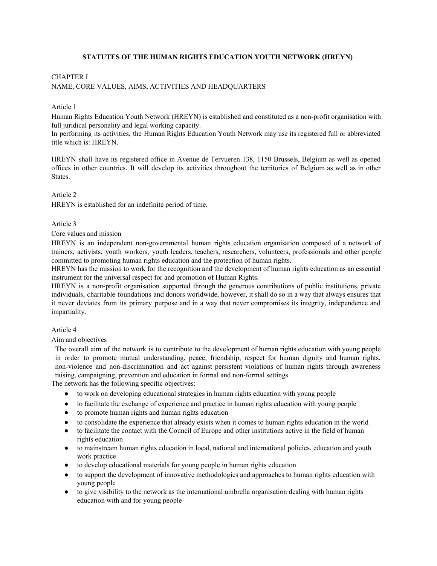# **STATUTES OF THE HUMAN RIGHTS EDUCATION YOUTH NETWORK (HREYN)**

# CHAPTER I NAME, CORE VALUES, AIMS, ACTIVITIES AND HEADQUARTERS

#### Article 1

Human Rights Education Youth Network (HREYN) is established and constituted as a non-profit organisation with full juridical personality and legal working capacity.

In performing its activities, the Human Rights Education Youth Network may use its registered full or abbreviated title which is: HREYN.

HREYN shall have its registered office in Avenue de Tervueren 138, 1150 Brussels, Belgium as well as opened offices in other countries. It will develop its activities throughout the territories of Belgium as well as in other States.

#### Article 2

HREYN is established for an indefinite period of time.

## Article 3

Core values and mission

HREYN is an independent non-governmental human rights education organisation composed of a network of trainers, activists, youth workers, youth leaders, teachers, researchers, volunteers, professionals and other people committed to promoting human rights education and the protection of human rights.

HREYN has the mission to work for the recognition and the development of human rights education as an essential instrument for the universal respect for and promotion of Human Rights.

HREYN is a non-profit organisation supported through the generous contributions of public institutions, private individuals, charitable foundations and donors worldwide, however, it shall do so in a way that always ensures that it never deviates from its primary purpose and in a way that never compromises its integrity, independence and impartiality.

## Article 4

Aim and objectives

The overall aim of the network is to contribute to the development of human rights education with young people in order to promote mutual understanding, peace, friendship, respect for human dignity and human rights, non-violence and non-discrimination and act against persistent violations of human rights through awareness raising, campaigning, prevention and education in formal and non-formal settings

The network has the following specific objectives:

- to work on developing educational strategies in human rights education with young people
- to facilitate the exchange of experience and practice in human rights education with young people
- to promote human rights and human rights education
- to consolidate the experience that already exists when it comes to human rights education in the world
- to facilitate the contact with the Council of Europe and other institutions active in the field of human rights education
- to mainstream human rights education in local, national and international policies, education and youth work practice
- to develop educational materials for young people in human rights education
- to support the development of innovative methodologies and approaches to human rights education with young people
- to give visibility to the network as the international umbrella organisation dealing with human rights education with and for young people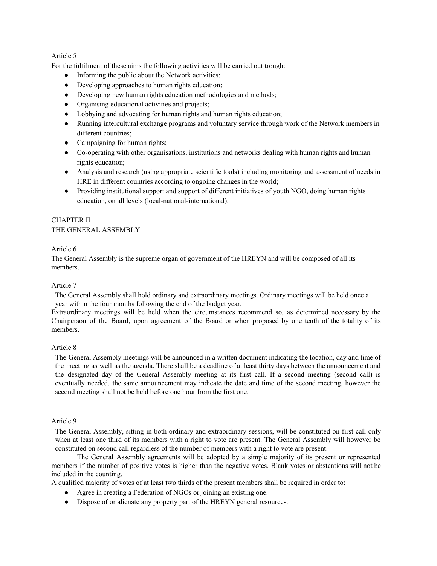For the fulfilment of these aims the following activities will be carried out trough:

- Informing the public about the Network activities;
- Developing approaches to human rights education;
- Developing new human rights education methodologies and methods;
- Organising educational activities and projects;
- Lobbying and advocating for human rights and human rights education;
- Running intercultural exchange programs and voluntary service through work of the Network members in different countries;
- Campaigning for human rights;
- Co-operating with other organisations, institutions and networks dealing with human rights and human rights education;
- Analysis and research (using appropriate scientific tools) including monitoring and assessment of needs in HRE in different countries according to ongoing changes in the world;
- Providing institutional support and support of different initiatives of youth NGO, doing human rights education, on all levels (local-national-international).

# CHAPTER II THE GENERAL ASSEMBLY

# Article 6

The General Assembly is the supreme organ of government of the HREYN and will be composed of all its members.

# Article 7

The General Assembly shall hold ordinary and extraordinary meetings. Ordinary meetings will be held once a year within the four months following the end of the budget year.

Extraordinary meetings will be held when the circumstances recommend so, as determined necessary by the Chairperson of the Board, upon agreement of the Board or when proposed by one tenth of the totality of its members.

# Article 8

The General Assembly meetings will be announced in a written document indicating the location, day and time of the meeting as well as the agenda. There shall be a deadline of at least thirty days between the announcement and the designated day of the General Assembly meeting at its first call. If a second meeting (second call) is eventually needed, the same announcement may indicate the date and time of the second meeting, however the second meeting shall not be held before one hour from the first one.

#### Article 9

The General Assembly, sitting in both ordinary and extraordinary sessions, will be constituted on first call only when at least one third of its members with a right to vote are present. The General Assembly will however be constituted on second call regardless of the number of members with a right to vote are present.

The General Assembly agreements will be adopted by a simple majority of its present or represented members if the number of positive votes is higher than the negative votes. Blank votes or abstentions will not be included in the counting.

A qualified majority of votes of at least two thirds of the present members shall be required in order to:

- Agree in creating a Federation of NGOs or joining an existing one.
- Dispose of or alienate any property part of the HREYN general resources.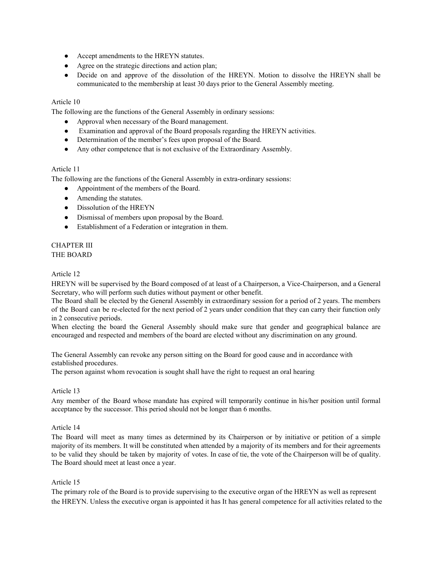- Accept amendments to the HREYN statutes.
- Agree on the strategic directions and action plan;
- Decide on and approve of the dissolution of the HREYN. Motion to dissolve the HREYN shall be communicated to the membership at least 30 days prior to the General Assembly meeting.

The following are the functions of the General Assembly in ordinary sessions:

- Approval when necessary of the Board management.
- Examination and approval of the Board proposals regarding the HREYN activities.
- Determination of the member's fees upon proposal of the Board.
- Any other competence that is not exclusive of the Extraordinary Assembly.

# Article 11

The following are the functions of the General Assembly in extra-ordinary sessions:

- Appointment of the members of the Board.
- Amending the statutes.
- Dissolution of the HREYN
- Dismissal of members upon proposal by the Board.
- Establishment of a Federation or integration in them.

# CHAPTER III THE BOARD

# Article 12

HREYN will be supervised by the Board composed of at least of a Chairperson, a Vice-Chairperson, and a General Secretary, who will perform such duties without payment or other benefit.

The Board shall be elected by the General Assembly in extraordinary session for a period of 2 years. The members of the Board can be re-elected for the next period of 2 years under condition that they can carry their function only in 2 consecutive periods.

When electing the board the General Assembly should make sure that gender and geographical balance are encouraged and respected and members of the board are elected without any discrimination on any ground.

The General Assembly can revoke any person sitting on the Board for good cause and in accordance with established procedures.

The person against whom revocation is sought shall have the right to request an oral hearing

# Article 13

Any member of the Board whose mandate has expired will temporarily continue in his/her position until formal acceptance by the successor. This period should not be longer than 6 months.

# Article 14

The Board will meet as many times as determined by its Chairperson or by initiative or petition of a simple majority of its members. It will be constituted when attended by a majority of its members and for their agreements to be valid they should be taken by majority of votes. In case of tie, the vote of the Chairperson will be of quality. The Board should meet at least once a year.

# Article 15

The primary role of the Board is to provide supervising to the executive organ of the HREYN as well as represent the HREYN. Unless the executive organ is appointed it has It has general competence for all activities related to the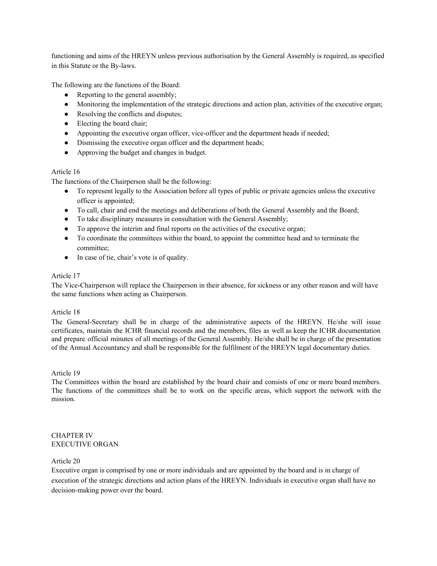functioning and aims of the HREYN unless previous authorisation by the General Assembly is required, as specified in this Statute or the By-laws.

The following are the functions of the Board:

- Reporting to the general assembly;
- Monitoring the implementation of the strategic directions and action plan, activities of the executive organ;
- Resolving the conflicts and disputes;
- Electing the board chair;
- Appointing the executive organ officer, vice-officer and the department heads if needed;
- Dismissing the executive organ officer and the department heads;
- Approving the budget and changes in budget.

# Article 16

The functions of the Chairperson shall be the following:

- To represent legally to the Association before all types of public or private agencies unless the executive officer is appointed;
- To call, chair and end the meetings and deliberations of both the General Assembly and the Board;
- To take disciplinary measures in consultation with the General Assembly;
- To approve the interim and final reports on the activities of the executive organ;
- To coordinate the committees within the board, to appoint the committee head and to terminate the committee;
- In case of tie, chair's vote is of quality.

# Article 17

The Vice-Chairperson will replace the Chairperson in their absence, for sickness or any other reason and will have the same functions when acting as Chairperson.

# Article 18

The General-Secretary shall be in charge of the administrative aspects of the HREYN. He/she will issue certificates, maintain the ICHR financial records and the members, files as well as keep the ICHR documentation and prepare official minutes of all meetings of the General Assembly. He/she shall be in charge of the presentation of the Annual Accountancy and shall be responsible for the fulfilment of the HREYN legal documentary duties.

# Article 19

The Committees within the board are established by the board chair and consists of one or more board members. The functions of the committees shall be to work on the specific areas, which support the network with the mission.

## CHAPTER IV EXECUTIVE ORGAN

# Article 20

Executive organ is comprised by one or more individuals and are appointed by the board and is in charge of execution of the strategic directions and action plans of the HREYN. Individuals in executive organ shall have no decision-making power over the board.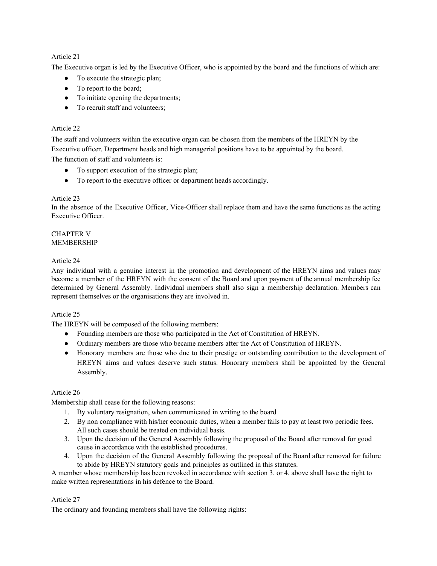The Executive organ is led by the Executive Officer, who is appointed by the board and the functions of which are:

- To execute the strategic plan;
- To report to the board;
- To initiate opening the departments;
- To recruit staff and volunteers:

# Article 22

The staff and volunteers within the executive organ can be chosen from the members of the HREYN by the Executive officer. Department heads and high managerial positions have to be appointed by the board. The function of staff and volunteers is:

- To support execution of the strategic plan;
- To report to the executive officer or department heads accordingly.

# Article 23

In the absence of the Executive Officer, Vice-Officer shall replace them and have the same functions as the acting Executive Officer.

## CHAPTER V MEMBERSHIP

# Article 24

Any individual with a genuine interest in the promotion and development of the HREYN aims and values may become a member of the HREYN with the consent of the Board and upon payment of the annual membership fee determined by General Assembly. Individual members shall also sign a membership declaration. Members can represent themselves or the organisations they are involved in.

# Article 25

The HREYN will be composed of the following members:

- Founding members are those who participated in the Act of Constitution of HREYN.
- Ordinary members are those who became members after the Act of Constitution of HREYN.
- Honorary members are those who due to their prestige or outstanding contribution to the development of HREYN aims and values deserve such status. Honorary members shall be appointed by the General Assembly.

# Article 26

Membership shall cease for the following reasons:

- 1. By voluntary resignation, when communicated in writing to the board
- 2. By non compliance with his/her economic duties, when a member fails to pay at least two periodic fees. All such cases should be treated on individual basis.
- 3. Upon the decision of the General Assembly following the proposal of the Board after removal for good cause in accordance with the established procedures.
- 4. Upon the decision of the General Assembly following the proposal of the Board after removal for failure to abide by HREYN statutory goals and principles as outlined in this statutes.

A member whose membership has been revoked in accordance with section 3. or 4. above shall have the right to make written representations in his defence to the Board.

# Article 27

The ordinary and founding members shall have the following rights: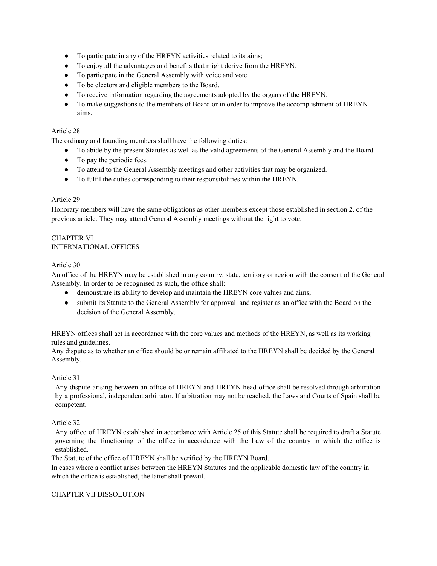- To participate in any of the HREYN activities related to its aims;
- To enjoy all the advantages and benefits that might derive from the HREYN.
- To participate in the General Assembly with voice and vote.
- To be electors and eligible members to the Board.
- To receive information regarding the agreements adopted by the organs of the HREYN.
- To make suggestions to the members of Board or in order to improve the accomplishment of HREYN aims.

The ordinary and founding members shall have the following duties:

- To abide by the present Statutes as well as the valid agreements of the General Assembly and the Board.
- To pay the periodic fees.
- To attend to the General Assembly meetings and other activities that may be organized.
- To fulfil the duties corresponding to their responsibilities within the HREYN.

## Article 29

Honorary members will have the same obligations as other members except those established in section 2. of the previous article. They may attend General Assembly meetings without the right to vote.

# CHAPTER VI INTERNATIONAL OFFICES

## Article 30

An office of the HREYN may be established in any country, state, territory or region with the consent of the General Assembly. In order to be recognised as such, the office shall:

- demonstrate its ability to develop and maintain the HREYN core values and aims;
- submit its Statute to the General Assembly for approval and register as an office with the Board on the decision of the General Assembly.

HREYN offices shall act in accordance with the core values and methods of the HREYN, as well as its working rules and guidelines.

Any dispute as to whether an office should be or remain affiliated to the HREYN shall be decided by the General Assembly.

# Article 31

Any dispute arising between an office of HREYN and HREYN head office shall be resolved through arbitration by a professional, independent arbitrator. If arbitration may not be reached, the Laws and Courts of Spain shall be competent.

# Article 32

Any office of HREYN established in accordance with Article 25 of this Statute shall be required to draft a Statute governing the functioning of the office in accordance with the Law of the country in which the office is established.

The Statute of the office of HREYN shall be verified by the HREYN Board.

In cases where a conflict arises between the HREYN Statutes and the applicable domestic law of the country in which the office is established, the latter shall prevail.

# CHAPTER VII DISSOLUTION